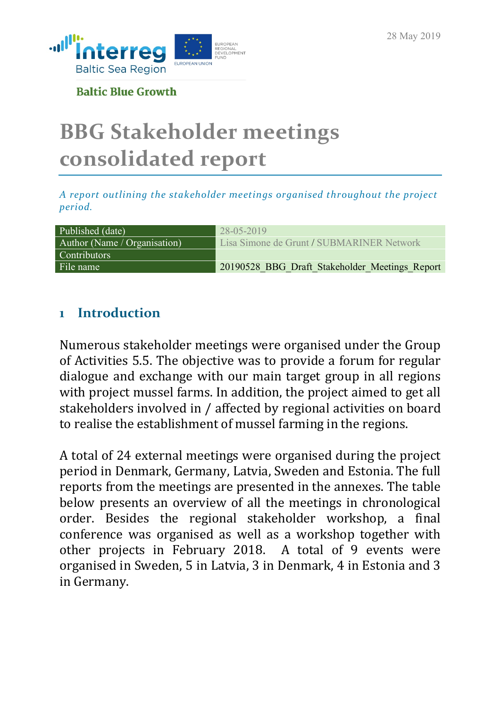

**Baltic Blue Growth** 

# **BBG Stakeholder meetings consolidated report**

*A report outlining the stakeholder meetings organised throughout the project period.* 

| Published (date) <sup>1</sup> | 28-05-2019                                     |
|-------------------------------|------------------------------------------------|
| Author (Name / Organisation)  | Lisa Simone de Grunt / SUBMARINER Network      |
| <b>Contributors</b>           |                                                |
| File name                     | 20190528 BBG Draft Stakeholder Meetings Report |

## **1 Introduction**

Numerous stakeholder meetings were organised under the Group of Activities 5.5. The objective was to provide a forum for regular dialogue and exchange with our main target group in all regions with project mussel farms. In addition, the project aimed to get all stakeholders involved in / affected by regional activities on board to realise the establishment of mussel farming in the regions.

A total of 24 external meetings were organised during the project period in Denmark, Germany, Latvia, Sweden and Estonia. The full reports from the meetings are presented in the annexes. The table below presents an overview of all the meetings in chronological order. Besides the regional stakeholder workshop, a final conference was organised as well as a workshop together with other projects in February 2018. A total of 9 events were organised in Sweden, 5 in Latvia, 3 in Denmark, 4 in Estonia and 3 in Germany.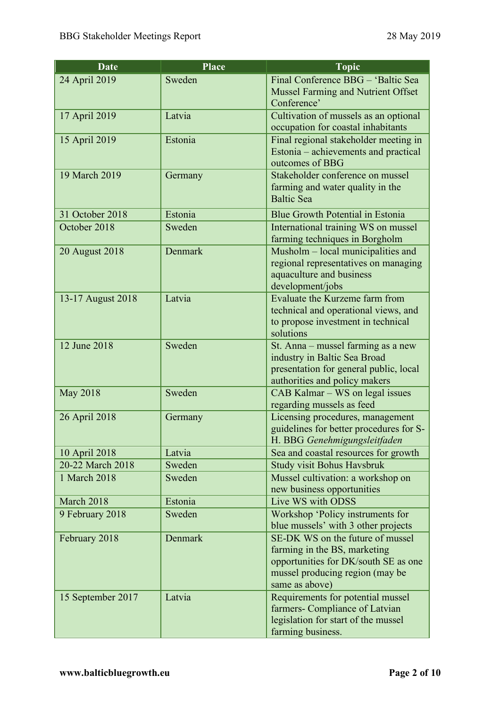| <b>Date</b>                                                                                                | <b>Place</b>                                              | <b>Topic</b>                                                                                                                                                                                                                                                                                                                                                                                                                                                                                                                                                                                                                                                           |
|------------------------------------------------------------------------------------------------------------|-----------------------------------------------------------|------------------------------------------------------------------------------------------------------------------------------------------------------------------------------------------------------------------------------------------------------------------------------------------------------------------------------------------------------------------------------------------------------------------------------------------------------------------------------------------------------------------------------------------------------------------------------------------------------------------------------------------------------------------------|
| 24 April 2019                                                                                              | Sweden                                                    | Final Conference BBG - 'Baltic Sea                                                                                                                                                                                                                                                                                                                                                                                                                                                                                                                                                                                                                                     |
|                                                                                                            |                                                           | Mussel Farming and Nutrient Offset                                                                                                                                                                                                                                                                                                                                                                                                                                                                                                                                                                                                                                     |
|                                                                                                            |                                                           | Conference'                                                                                                                                                                                                                                                                                                                                                                                                                                                                                                                                                                                                                                                            |
| 17 April 2019                                                                                              | Latvia                                                    | Cultivation of mussels as an optional                                                                                                                                                                                                                                                                                                                                                                                                                                                                                                                                                                                                                                  |
|                                                                                                            |                                                           | occupation for coastal inhabitants                                                                                                                                                                                                                                                                                                                                                                                                                                                                                                                                                                                                                                     |
| 15 April 2019                                                                                              | Estonia                                                   | Final regional stakeholder meeting in                                                                                                                                                                                                                                                                                                                                                                                                                                                                                                                                                                                                                                  |
|                                                                                                            |                                                           | Estonia – achievements and practical                                                                                                                                                                                                                                                                                                                                                                                                                                                                                                                                                                                                                                   |
| 19 March 2019                                                                                              |                                                           | outcomes of BBG<br>Stakeholder conference on mussel                                                                                                                                                                                                                                                                                                                                                                                                                                                                                                                                                                                                                    |
|                                                                                                            | Germany                                                   | farming and water quality in the                                                                                                                                                                                                                                                                                                                                                                                                                                                                                                                                                                                                                                       |
|                                                                                                            |                                                           | <b>Baltic Sea</b>                                                                                                                                                                                                                                                                                                                                                                                                                                                                                                                                                                                                                                                      |
|                                                                                                            | Estonia                                                   |                                                                                                                                                                                                                                                                                                                                                                                                                                                                                                                                                                                                                                                                        |
| 31 October 2018<br>October 2018                                                                            | Sweden                                                    | Blue Growth Potential in Estonia                                                                                                                                                                                                                                                                                                                                                                                                                                                                                                                                                                                                                                       |
|                                                                                                            |                                                           | International training WS on mussel<br>farming techniques in Borgholm                                                                                                                                                                                                                                                                                                                                                                                                                                                                                                                                                                                                  |
| 20 August 2018                                                                                             | Denmark                                                   | Musholm – local municipalities and                                                                                                                                                                                                                                                                                                                                                                                                                                                                                                                                                                                                                                     |
|                                                                                                            |                                                           | regional representatives on managing                                                                                                                                                                                                                                                                                                                                                                                                                                                                                                                                                                                                                                   |
|                                                                                                            |                                                           | aquaculture and business                                                                                                                                                                                                                                                                                                                                                                                                                                                                                                                                                                                                                                               |
|                                                                                                            |                                                           | development/jobs                                                                                                                                                                                                                                                                                                                                                                                                                                                                                                                                                                                                                                                       |
| 13-17 August 2018                                                                                          | Latvia                                                    | Evaluate the Kurzeme farm from                                                                                                                                                                                                                                                                                                                                                                                                                                                                                                                                                                                                                                         |
|                                                                                                            |                                                           | technical and operational views, and                                                                                                                                                                                                                                                                                                                                                                                                                                                                                                                                                                                                                                   |
|                                                                                                            |                                                           | to propose investment in technical                                                                                                                                                                                                                                                                                                                                                                                                                                                                                                                                                                                                                                     |
|                                                                                                            |                                                           | solutions                                                                                                                                                                                                                                                                                                                                                                                                                                                                                                                                                                                                                                                              |
| 12 June 2018                                                                                               | Sweden                                                    | St. Anna – mussel farming as a new                                                                                                                                                                                                                                                                                                                                                                                                                                                                                                                                                                                                                                     |
|                                                                                                            |                                                           |                                                                                                                                                                                                                                                                                                                                                                                                                                                                                                                                                                                                                                                                        |
|                                                                                                            |                                                           |                                                                                                                                                                                                                                                                                                                                                                                                                                                                                                                                                                                                                                                                        |
|                                                                                                            |                                                           |                                                                                                                                                                                                                                                                                                                                                                                                                                                                                                                                                                                                                                                                        |
|                                                                                                            |                                                           |                                                                                                                                                                                                                                                                                                                                                                                                                                                                                                                                                                                                                                                                        |
|                                                                                                            |                                                           |                                                                                                                                                                                                                                                                                                                                                                                                                                                                                                                                                                                                                                                                        |
|                                                                                                            |                                                           |                                                                                                                                                                                                                                                                                                                                                                                                                                                                                                                                                                                                                                                                        |
|                                                                                                            |                                                           |                                                                                                                                                                                                                                                                                                                                                                                                                                                                                                                                                                                                                                                                        |
|                                                                                                            |                                                           |                                                                                                                                                                                                                                                                                                                                                                                                                                                                                                                                                                                                                                                                        |
|                                                                                                            |                                                           |                                                                                                                                                                                                                                                                                                                                                                                                                                                                                                                                                                                                                                                                        |
|                                                                                                            |                                                           |                                                                                                                                                                                                                                                                                                                                                                                                                                                                                                                                                                                                                                                                        |
|                                                                                                            |                                                           |                                                                                                                                                                                                                                                                                                                                                                                                                                                                                                                                                                                                                                                                        |
| March 2018                                                                                                 | Estonia                                                   | Live WS with ODSS                                                                                                                                                                                                                                                                                                                                                                                                                                                                                                                                                                                                                                                      |
| 9 February 2018                                                                                            | Sweden                                                    | Workshop 'Policy instruments for                                                                                                                                                                                                                                                                                                                                                                                                                                                                                                                                                                                                                                       |
|                                                                                                            |                                                           | blue mussels' with 3 other projects                                                                                                                                                                                                                                                                                                                                                                                                                                                                                                                                                                                                                                    |
| February 2018                                                                                              | Denmark                                                   | SE-DK WS on the future of mussel                                                                                                                                                                                                                                                                                                                                                                                                                                                                                                                                                                                                                                       |
|                                                                                                            |                                                           | farming in the BS, marketing                                                                                                                                                                                                                                                                                                                                                                                                                                                                                                                                                                                                                                           |
|                                                                                                            |                                                           |                                                                                                                                                                                                                                                                                                                                                                                                                                                                                                                                                                                                                                                                        |
|                                                                                                            |                                                           |                                                                                                                                                                                                                                                                                                                                                                                                                                                                                                                                                                                                                                                                        |
|                                                                                                            |                                                           |                                                                                                                                                                                                                                                                                                                                                                                                                                                                                                                                                                                                                                                                        |
|                                                                                                            |                                                           |                                                                                                                                                                                                                                                                                                                                                                                                                                                                                                                                                                                                                                                                        |
|                                                                                                            |                                                           |                                                                                                                                                                                                                                                                                                                                                                                                                                                                                                                                                                                                                                                                        |
|                                                                                                            |                                                           |                                                                                                                                                                                                                                                                                                                                                                                                                                                                                                                                                                                                                                                                        |
| <b>May 2018</b><br>26 April 2018<br>10 April 2018<br>20-22 March 2018<br>1 March 2018<br>15 September 2017 | Sweden<br>Germany<br>Latvia<br>Sweden<br>Sweden<br>Latvia | industry in Baltic Sea Broad<br>presentation for general public, local<br>authorities and policy makers<br>CAB Kalmar – WS on legal issues<br>regarding mussels as feed<br>Licensing procedures, management<br>guidelines for better procedures for S-<br>H. BBG Genehmigungsleitfaden<br>Sea and coastal resources for growth<br><b>Study visit Bohus Havsbruk</b><br>Mussel cultivation: a workshop on<br>new business opportunities<br>opportunities for DK/south SE as one<br>mussel producing region (may be<br>same as above)<br>Requirements for potential mussel<br>farmers- Compliance of Latvian<br>legislation for start of the mussel<br>farming business. |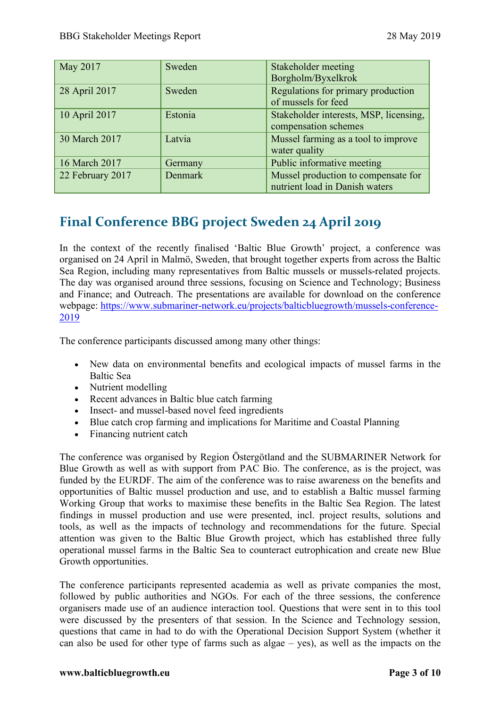| May 2017         | Sweden         | Stakeholder meeting<br>Borgholm/Byxelkrok                             |
|------------------|----------------|-----------------------------------------------------------------------|
| 28 April 2017    | Sweden         | Regulations for primary production<br>of mussels for feed             |
| 10 April 2017    | Estonia        | Stakeholder interests, MSP, licensing,<br>compensation schemes        |
| 30 March 2017    | Latvia         | Mussel farming as a tool to improve<br>water quality                  |
| 16 March 2017    | Germany        | Public informative meeting                                            |
| 22 February 2017 | <b>Denmark</b> | Mussel production to compensate for<br>nutrient load in Danish waters |

# **Final Conference BBG project Sweden 24 April 2019**

In the context of the recently finalised 'Baltic Blue Growth' project, a conference was organised on 24 April in Malmö, Sweden, that brought together experts from across the Baltic Sea Region, including many representatives from Baltic mussels or mussels-related projects. The day was organised around three sessions, focusing on Science and Technology; Business and Finance; and Outreach. The presentations are available for download on the conference webpage: https://www.submariner-network.eu/projects/balticbluegrowth/mussels-conference-2019

The conference participants discussed among many other things:

- New data on environmental benefits and ecological impacts of mussel farms in the Baltic Sea
- Nutrient modelling
- Recent advances in Baltic blue catch farming
- Insect- and mussel-based novel feed ingredients
- Blue catch crop farming and implications for Maritime and Coastal Planning
- Financing nutrient catch

The conference was organised by Region Östergötland and the SUBMARINER Network for Blue Growth as well as with support from PAC Bio. The conference, as is the project, was funded by the EURDF. The aim of the conference was to raise awareness on the benefits and opportunities of Baltic mussel production and use, and to establish a Baltic mussel farming Working Group that works to maximise these benefits in the Baltic Sea Region. The latest findings in mussel production and use were presented, incl. project results, solutions and tools, as well as the impacts of technology and recommendations for the future. Special attention was given to the Baltic Blue Growth project, which has established three fully operational mussel farms in the Baltic Sea to counteract eutrophication and create new Blue Growth opportunities.

The conference participants represented academia as well as private companies the most, followed by public authorities and NGOs. For each of the three sessions, the conference organisers made use of an audience interaction tool. Questions that were sent in to this tool were discussed by the presenters of that session. In the Science and Technology session, questions that came in had to do with the Operational Decision Support System (whether it can also be used for other type of farms such as algae – yes), as well as the impacts on the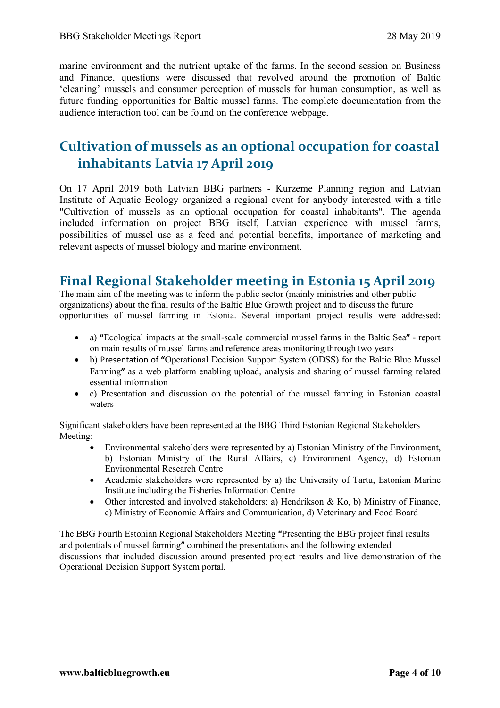marine environment and the nutrient uptake of the farms. In the second session on Business and Finance, questions were discussed that revolved around the promotion of Baltic 'cleaning' mussels and consumer perception of mussels for human consumption, as well as future funding opportunities for Baltic mussel farms. The complete documentation from the audience interaction tool can be found on the conference webpage.

# **Cultivation of mussels as an optional occupation for coastal inhabitants Latvia 17 April 2019**

On 17 April 2019 both Latvian BBG partners - Kurzeme Planning region and Latvian Institute of Aquatic Ecology organized a regional event for anybody interested with a title "Cultivation of mussels as an optional occupation for coastal inhabitants". The agenda included information on project BBG itself, Latvian experience with mussel farms, possibilities of mussel use as a feed and potential benefits, importance of marketing and relevant aspects of mussel biology and marine environment.

## **Final Regional Stakeholder meeting in Estonia 15 April 2019**

The main aim of the meeting was to inform the public sector (mainly ministries and other public organizations) about the final results of the Baltic Blue Growth project and to discuss the future opportunities of mussel farming in Estonia. Several important project results were addressed:

- a) **"**Ecological impacts at the small-scale commercial mussel farms in the Baltic Sea**"**  report on main results of mussel farms and reference areas monitoring through two years
- b) Presentation of **"**Operational Decision Support System (ODSS) for the Baltic Blue Mussel Farming**"** as a web platform enabling upload, analysis and sharing of mussel farming related essential information
- c) Presentation and discussion on the potential of the mussel farming in Estonian coastal waters

Significant stakeholders have been represented at the BBG Third Estonian Regional Stakeholders Meeting:

- Environmental stakeholders were represented by a) Estonian Ministry of the Environment, b) Estonian Ministry of the Rural Affairs, c) Environment Agency, d) Estonian Environmental Research Centre
- Academic stakeholders were represented by a) the University of Tartu, Estonian Marine Institute including the Fisheries Information Centre
- Other interested and involved stakeholders: a) Hendrikson & Ko, b) Ministry of Finance, c) Ministry of Economic Affairs and Communication, d) Veterinary and Food Board

The BBG Fourth Estonian Regional Stakeholders Meeting **"**Presenting the BBG project final results and potentials of mussel farming**"** combined the presentations and the following extended discussions that included discussion around presented project results and live demonstration of the Operational Decision Support System portal.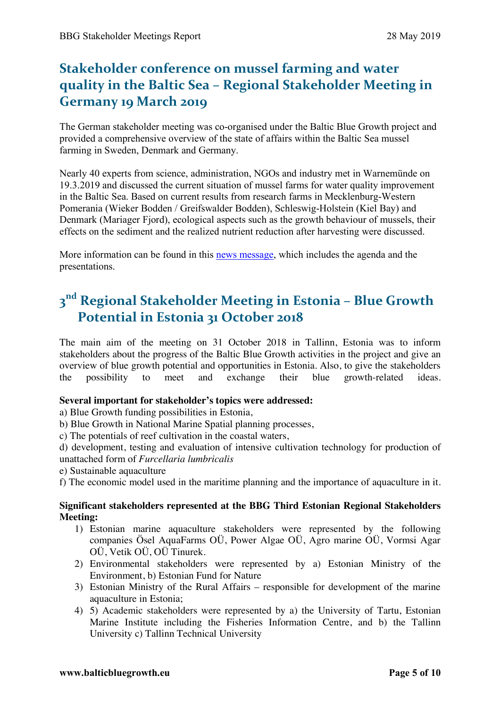# **Stakeholder conference on mussel farming and water quality in the Baltic Sea – Regional Stakeholder Meeting in Germany 19 March 2019**

The German stakeholder meeting was co-organised under the Baltic Blue Growth project and provided a comprehensive overview of the state of affairs within the Baltic Sea mussel farming in Sweden, Denmark and Germany.

Nearly 40 experts from science, administration, NGOs and industry met in Warnemünde on 19.3.2019 and discussed the current situation of mussel farms for water quality improvement in the Baltic Sea. Based on current results from research farms in Mecklenburg-Western Pomerania (Wieker Bodden / Greifswalder Bodden), Schleswig-Holstein (Kiel Bay) and Denmark (Mariager Fjord), ecological aspects such as the growth behaviour of mussels, their effects on the sediment and the realized nutrient reduction after harvesting were discussed.

More information can be found in this news message, which includes the agenda and the presentations.

# **3nd Regional Stakeholder Meeting in Estonia – Blue Growth Potential in Estonia 31 October 2018**

The main aim of the meeting on 31 October 2018 in Tallinn, Estonia was to inform stakeholders about the progress of the Baltic Blue Growth activities in the project and give an overview of blue growth potential and opportunities in Estonia. Also, to give the stakeholders the possibility to meet and exchange their blue growth-related ideas.

#### **Several important for stakeholder's topics were addressed:**

a) Blue Growth funding possibilities in Estonia,

b) Blue Growth in National Marine Spatial planning processes,

c) The potentials of reef cultivation in the coastal waters,

d) development, testing and evaluation of intensive cultivation technology for production of unattached form of *Furcellaria lumbricalis* 

e) Sustainable aquaculture

f) The economic model used in the maritime planning and the importance of aquaculture in it.

#### **Significant stakeholders represented at the BBG Third Estonian Regional Stakeholders Meeting:**

- 1) Estonian marine aquaculture stakeholders were represented by the following companies Ösel AquaFarms OÜ, Power Algae OÜ, Agro marine OÜ, Vormsi Agar OÜ, Vetik OÜ, OÜ Tinurek.
- 2) Environmental stakeholders were represented by a) Estonian Ministry of the Environment, b) Estonian Fund for Nature
- 3) Estonian Ministry of the Rural Affairs responsible for development of the marine aquaculture in Estonia;
- 4) 5) Academic stakeholders were represented by a) the University of Tartu, Estonian Marine Institute including the Fisheries Information Centre, and b) the Tallinn University c) Tallinn Technical University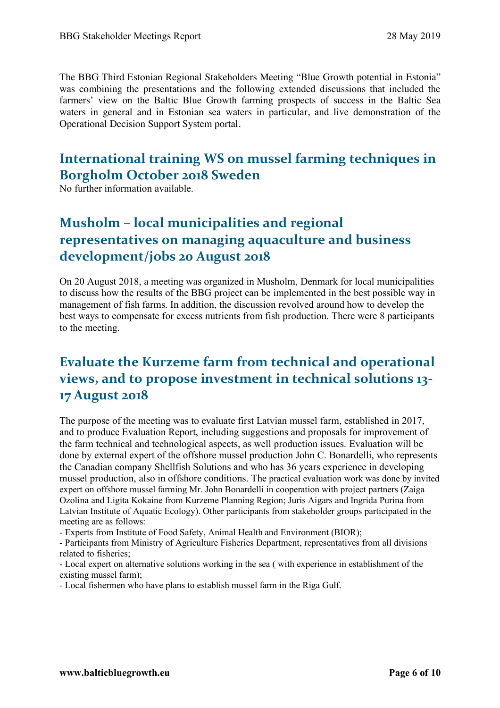The BBG Third Estonian Regional Stakeholders Meeting "Blue Growth potential in Estonia" was combining the presentations and the following extended discussions that included the farmers' view on the Baltic Blue Growth farming prospects of success in the Baltic Sea waters in general and in Estonian sea waters in particular, and live demonstration of the Operational Decision Support System portal.

# **International training WS on mussel farming techniques in Borgholm October 2018 Sweden**

No further information available.

# **Musholm – local municipalities and regional representatives on managing aquaculture and business development/jobs 20 August 2018**

On 20 August 2018, a meeting was organized in Musholm, Denmark for local municipalities to discuss how the results of the BBG project can be implemented in the best possible way in management of fish farms. In addition, the discussion revolved around how to develop the best ways to compensate for excess nutrients from fish production. There were 8 participants to the meeting.

# **Evaluate the Kurzeme farm from technical and operational views, and to propose investment in technical solutions 13- 17 August 2018**

The purpose of the meeting was to evaluate first Latvian mussel farm, established in 2017, and to produce Evaluation Report, including suggestions and proposals for improvement of the farm technical and technological aspects, as well production issues. Evaluation will be done by external expert of the offshore mussel production John C. Bonardelli, who represents the Canadian company Shellfish Solutions and who has 36 years experience in developing mussel production, also in offshore conditions. The practical evaluation work was done by invited expert on offshore mussel farming Mr. John Bonardelli in cooperation with project partners (Zaiga Ozolina and Ligita Kokaine from Kurzeme Planning Region; Juris Aigars and Ingrida Purina from Latvian Institute of Aquatic Ecology). Other participants from stakeholder groups participated in the meeting are as follows:

- Experts from Institute of Food Safety, Animal Health and Environment (BIOR);

- Participants from Ministry of Agriculture Fisheries Department, representatives from all divisions related to fisheries;

- Local expert on alternative solutions working in the sea ( with experience in establishment of the existing mussel farm);

- Local fishermen who have plans to establish mussel farm in the Riga Gulf.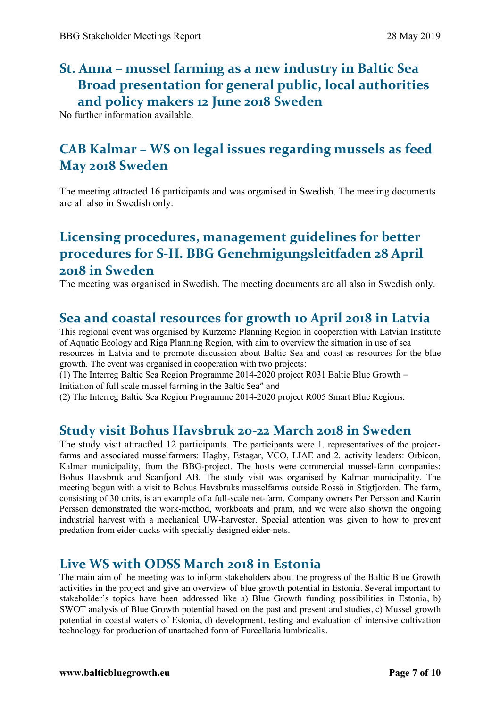# **St. Anna – mussel farming as a new industry in Baltic Sea Broad presentation for general public, local authorities and policy makers 12 June 2018 Sweden**

No further information available.

# **CAB Kalmar – WS on legal issues regarding mussels as feed May 2018 Sweden**

The meeting attracted 16 participants and was organised in Swedish. The meeting documents are all also in Swedish only.

# **Licensing procedures, management guidelines for better procedures for S-H. BBG Genehmigungsleitfaden 28 April 2018 in Sweden**

The meeting was organised in Swedish. The meeting documents are all also in Swedish only.

## **Sea and coastal resources for growth 10 April 2018 in Latvia**

This regional event was organised by Kurzeme Planning Region in cooperation with Latvian Institute of Aquatic Ecology and Riga Planning Region, with aim to overview the situation in use of sea resources in Latvia and to promote discussion about Baltic Sea and coast as resources for the blue growth. The event was organised in cooperation with two projects:

(1) The Interreg Baltic Sea Region Programme 2014-2020 project R031 Baltic Blue Growth – Initiation of full scale mussel farming in the Baltic Sea" and

(2) The Interreg Baltic Sea Region Programme 2014-2020 project R005 Smart Blue Regions.

#### **Study visit Bohus Havsbruk 20-22 March 2018 in Sweden**

The study visit attracfted 12 participants. The participants were 1. representatives of the projectfarms and associated musselfarmers: Hagby, Estagar, VCO, LIAE and 2. activity leaders: Orbicon, Kalmar municipality, from the BBG-project. The hosts were commercial mussel-farm companies: Bohus Havsbruk and Scanfjord AB. The study visit was organised by Kalmar municipality. The meeting begun with a visit to Bohus Havsbruks musselfarms outside Rossö in Stigfjorden. The farm, consisting of 30 units, is an example of a full-scale net-farm. Company owners Per Persson and Katrin Persson demonstrated the work-method, workboats and pram, and we were also shown the ongoing industrial harvest with a mechanical UW-harvester. Special attention was given to how to prevent predation from eider-ducks with specially designed eider-nets.

#### **Live WS with ODSS March 2018 in Estonia**

The main aim of the meeting was to inform stakeholders about the progress of the Baltic Blue Growth activities in the project and give an overview of blue growth potential in Estonia. Several important to stakeholder's topics have been addressed like a) Blue Growth funding possibilities in Estonia, b) SWOT analysis of Blue Growth potential based on the past and present and studies, c) Mussel growth potential in coastal waters of Estonia, d) development, testing and evaluation of intensive cultivation technology for production of unattached form of Furcellaria lumbricalis.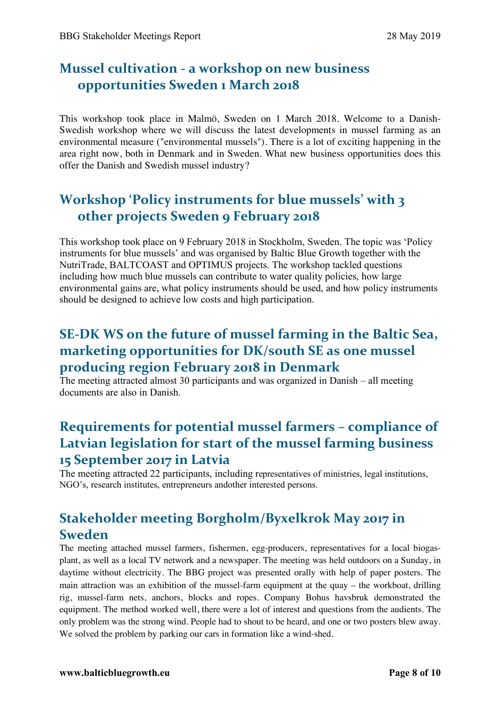# **Mussel cultivation - a workshop on new business opportunities Sweden 1 March 2018**

This workshop took place in Malmö, Sweden on 1 March 2018. Welcome to a Danish-Swedish workshop where we will discuss the latest developments in mussel farming as an environmental measure ("environmental mussels"). There is a lot of exciting happening in the area right now, both in Denmark and in Sweden. What new business opportunities does this offer the Danish and Swedish mussel industry?

# **Workshop 'Policy instruments for blue mussels' with 3 other projects Sweden 9 February 2018**

This workshop took place on 9 February 2018 in Stockholm, Sweden. The topic was 'Policy instruments for blue mussels' and was organised by Baltic Blue Growth together with the NutriTrade, BALTCOAST and OPTIMUS projects. The workshop tackled questions including how much blue mussels can contribute to water quality policies, how large environmental gains are, what policy instruments should be used, and how policy instruments should be designed to achieve low costs and high participation.

# **SE-DK WS on the future of mussel farming in the Baltic Sea, marketing opportunities for DK/south SE as one mussel producing region February 2018 in Denmark**

The meeting attracted almost 30 participants and was organized in Danish – all meeting documents are also in Danish.

# **Requirements for potential mussel farmers – compliance of Latvian legislation for start of the mussel farming business 15 September 2017 in Latvia**

The meeting attracted 22 participants, including representatives of ministries, legal institutions, NGO's, research institutes, entrepreneurs andother interested persons.

# **Stakeholder meeting Borgholm/Byxelkrok May 2017 in Sweden**

The meeting attached mussel farmers, fishermen, egg-producers, representatives for a local biogasplant, as well as a local TV network and a newspaper. The meeting was held outdoors on a Sunday, in daytime without electricity. The BBG project was presented orally with help of paper posters. The main attraction was an exhibition of the mussel-farm equipment at the quay – the workboat, drilling rig, mussel-farm nets, anchors, blocks and ropes. Company Bohus havsbruk demonstrated the equipment. The method worked well, there were a lot of interest and questions from the audients. The only problem was the strong wind. People had to shout to be heard, and one or two posters blew away. We solved the problem by parking our cars in formation like a wind-shed.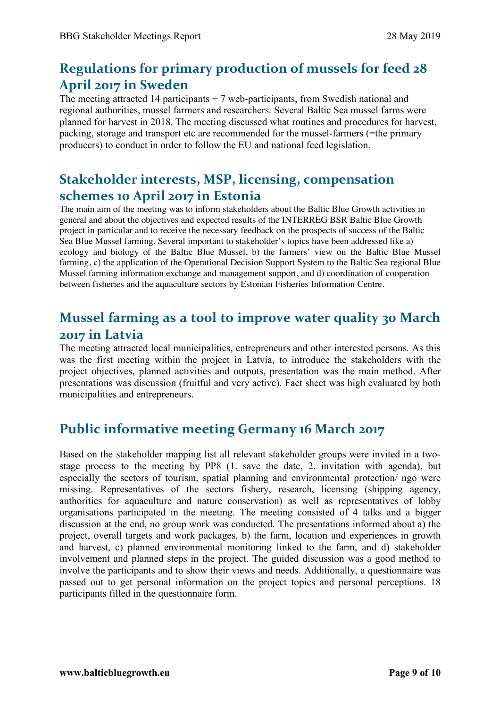# **Regulations for primary production of mussels for feed 28 April 2017 in Sweden**

The meeting attracted 14 participants  $+7$  web-participants, from Swedish national and regional authorities, mussel farmers and researchers. Several Baltic Sea mussel farms were planned for harvest in 2018. The meeting discussed what routines and procedures for harvest, packing, storage and transport etc are recommended for the mussel-farmers (=the primary producers) to conduct in order to follow the EU and national feed legislation.

# **Stakeholder interests, MSP, licensing, compensation schemes 10 April 2017 in Estonia**

The main aim of the meeting was to inform stakeholders about the Baltic Blue Growth activities in general and about the objectives and expected results of the INTERREG BSR Baltic Blue Growth project in particular and to receive the necessary feedback on the prospects of success of the Baltic Sea Blue Mussel farming. Several important to stakeholder's topics have been addressed like a) ecology and biology of the Baltic Blue Mussel, b) the farmers' view on the Baltic Blue Mussel farming, c) the application of the Operational Decision Support System to the Baltic Sea regional Blue Mussel farming information exchange and management support, and d) coordination of cooperation between fisheries and the aquaculture sectors by Estonian Fisheries Information Centre.

# **Mussel farming as a tool to improve water quality 30 March 2017 in Latvia**

The meeting attracted local municipalities, entrepreneurs and other interested persons. As this was the first meeting within the project in Latvia, to introduce the stakeholders with the project objectives, planned activities and outputs, presentation was the main method. After presentations was discussion (fruitful and very active). Fact sheet was high evaluated by both municipalities and entrepreneurs.

# **Public informative meeting Germany 16 March 2017**

Based on the stakeholder mapping list all relevant stakeholder groups were invited in a twostage process to the meeting by PP8 (1. save the date, 2. invitation with agenda), but especially the sectors of tourism, spatial planning and environmental protection/ ngo were missing. Representatives of the sectors fishery, research, licensing (shipping agency, authorities for aquaculture and nature conservation) as well as representatives of lobby organisations participated in the meeting. The meeting consisted of 4 talks and a bigger discussion at the end, no group work was conducted. The presentations informed about a) the project, overall targets and work packages, b) the farm, location and experiences in growth and harvest, c) planned environmental monitoring linked to the farm, and d) stakeholder involvement and planned steps in the project. The guided discussion was a good method to involve the participants and to show their views and needs. Additionally, a questionnaire was passed out to get personal information on the project topics and personal perceptions. 18 participants filled in the questionnaire form.